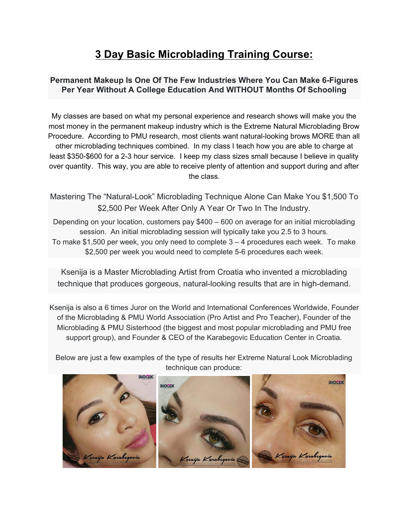# **3 Day Basic Microblading Training Course:**

#### **Permanent Makeup Is One Of The Few Industries Where You Can Make 6-Figures Per Year Without A College Education And WITHOUT Months Of Schooling**

My classes are based on what my personal experience and research shows will make you the most money in the permanent makeup industry which is the Extreme Natural Microblading Brow Procedure. According to PMU research, most clients want natural-looking brows MORE than all other microblading techniques combined. In my class I teach how you are able to charge at least \$350-\$600 for a 2-3 hour service. I keep my class sizes small because I believe in quality over quantity. This way, you are able to receive plenty of attention and support during and after the class.

Mastering The "Natural-Look" Microblading Technique Alone Can Make You \$1,500 To \$2,500 Per Week After Only A Year Or Two In The Industry.

Depending on your location, customers pay \$400 – 600 on average for an initial microblading session. An initial microblading session will typically take you 2.5 to 3 hours. To make \$1,500 per week, you only need to complete 3 – 4 procedures each week. To make \$2,500 per week you would need to complete 5-6 procedures each week.

Ksenija is a Master Microblading Artist from Croatia who invented a microblading technique that produces gorgeous, natural-looking results that are in high-demand.

Ksenija is also a 6 times Juror on the World and International Conferences Worldwide, Founder of the Microblading & PMU World Association (Pro Artist and Pro Teacher), Founder of the Microblading & PMU Sisterhood (the biggest and most popular microblading and PMU free support group), and Founder & CEO of the Karabegovic Education Center in Croatia.

Below are just a few examples of the type of results her Extreme Natural Look Microblading technique can produce:

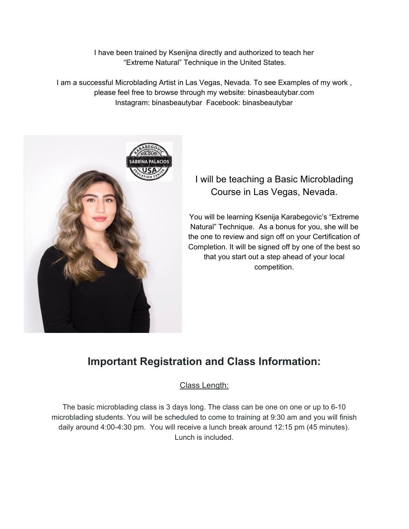I have been trained by Ksenijna directly and authorized to teach her "Extreme Natural" Technique in the United States.

I am a successful Microblading Artist in Las Vegas, Nevada. To see Examples of my work , please feel free to browse through my website: binasbeautybar.com Instagram: binasbeautybar Facebook: binasbeautybar



# I will be teaching a Basic Microblading Course in Las Vegas, Nevada.

You will be learning Ksenija Karabegovic's "Extreme Natural" Technique. As a bonus for you, she will be the one to review and sign off on your Certification of Completion. It will be signed off by one of the best so that you start out a step ahead of your local competition.

# **Important Registration and Class Information:**

Class Length:

The basic microblading class is 3 days long. The class can be one on one or up to 6-10 microblading students. You will be scheduled to come to training at 9:30 am and you will finish daily around 4:00-4:30 pm. You will receive a lunch break around 12:15 pm (45 minutes). Lunch is included.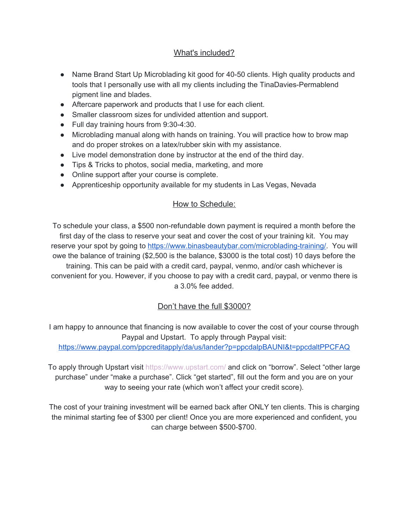# What's included?

- Name Brand Start Up Microblading kit good for 40-50 clients. High quality products and tools that I personally use with all my clients including the TinaDavies-Permablend pigment line and blades.
- Aftercare paperwork and products that I use for each client.
- Smaller classroom sizes for undivided attention and support.
- Full day training hours from 9:30-4:30.
- Microblading manual along with hands on training. You will practice how to brow map and do proper strokes on a latex/rubber skin with my assistance.
- Live model demonstration done by instructor at the end of the third day.
- Tips & Tricks to photos, social media, marketing, and more
- Online support after your course is complete.
- Apprenticeship opportunity available for my students in Las Vegas, Nevada

## How to Schedule:

To schedule your class, a \$500 non-refundable down payment is required a month before the first day of the class to reserve your seat and cover the cost of your training kit. You may reserve your spot by going to <https://www.binasbeautybar.com/microblading-training/>. You will owe the balance of training (\$2,500 is the balance, \$3000 is the total cost) 10 days before the training. This can be paid with a credit card, paypal, venmo, and/or cash whichever is convenient for you. However, if you choose to pay with a credit card, paypal, or venmo there is a 3.0% fee added.

# Don't have the full \$3000?

I am happy to announce that financing is now available to cover the cost of your course through Paypal and Upstart. To apply through Paypal visit:

<https://www.paypal.com/ppcreditapply/da/us/lander?p=ppcdalpBAUNI&t=ppcdaltPPCFAQ>

To apply through Upstart visit <https://www.upstart.com/> and click on "borrow". Select "other large purchase" under "make a purchase". Click "get started", fill out the form and you are on your way to seeing your rate (which won't affect your credit score).

The cost of your training investment will be earned back after ONLY ten clients. This is charging the minimal starting fee of \$300 per client! Once you are more experienced and confident, you can charge between \$500-\$700.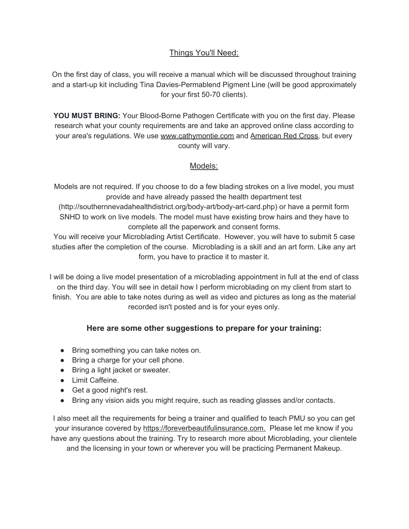## Things You'll Need:

On the first day of class, you will receive a manual which will be discussed throughout training and a start-up kit including Tina Davies-Permablend Pigment Line (will be good approximately for your first 50-70 clients).

**YOU MUST BRING:** Your Blood-Borne Pathogen Certificate with you on the first day. Please research what your county requirements are and take an approved online class according to your area's regulations. We use www.cathymontie.com and American Red Cross, but every county will vary.

#### Models:

Models are not required. If you choose to do a few blading strokes on a live model, you must provide and have already passed the health department test

(http://southernnevadahealthdistrict.org/body-art/body-art-card.php) or have a permit form SNHD to work on live models. The model must have existing brow hairs and they have to complete all the paperwork and consent forms.

You will receive your Microblading Artist Certificate. However, you will have to submit 5 case studies after the completion of the course. Microblading is a skill and an art form. Like any art form, you have to practice it to master it.

I will be doing a live model presentation of a microblading appointment in full at the end of class on the third day. You will see in detail how I perform microblading on my client from start to finish. You are able to take notes during as well as video and pictures as long as the material recorded isn't posted and is for your eyes only.

## **Here are some other suggestions to prepare for your training:**

- Bring something you can take notes on.
- Bring a charge for your cell phone.
- Bring a light jacket or sweater.
- Limit Caffeine.
- Get a good night's rest.
- Bring any vision aids you might require, such as reading glasses and/or contacts.

I also meet all the requirements for being a trainer and qualified to teach PMU so you can get your insurance covered by https://foreverbeautifulinsurance.com. Please let me know if you have any questions about the training. Try to research more about Microblading, your clientele and the licensing in your town or wherever you will be practicing Permanent Makeup.